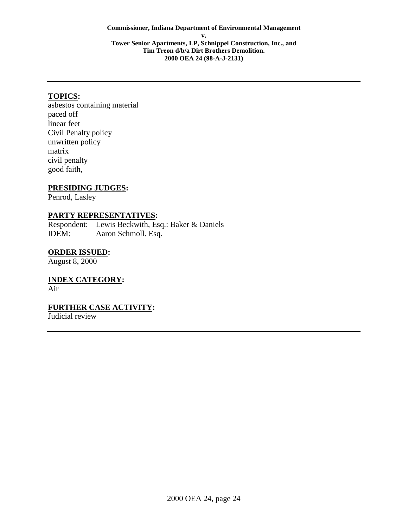## **TOPICS:**

asbestos containing material paced off linear feet Civil Penalty policy unwritten policy matrix civil penalty good faith,

### **PRESIDING JUDGES:**

Penrod, Lasley

## **PARTY REPRESENTATIVES:**

Respondent: Lewis Beckwith, Esq.: Baker & Daniels IDEM: Aaron Schmoll. Esq.

### **ORDER ISSUED:**

August 8, 2000

**INDEX CATEGORY:**  Air

### **FURTHER CASE ACTIVITY:**

Judicial review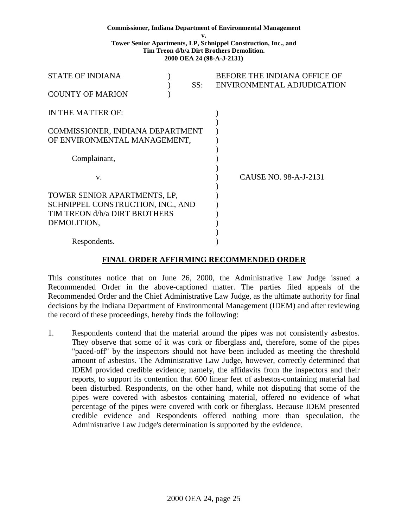#### **Commissioner, Indiana Department of Environmental Management**

**v.** 

**Tower Senior Apartments, LP, Schnippel Construction, Inc., and Tim Treon d/b/a Dirt Brothers Demolition. 2000 OEA 24 (98-A-J-2131)** 

| <b>STATE OF INDIANA</b><br><b>COUNTY OF MARION</b>               |  | SS: | BEFORE THE INDIANA OFFICE OF<br>ENVIRONMENTAL ADJUDICATION |
|------------------------------------------------------------------|--|-----|------------------------------------------------------------|
| IN THE MATTER OF:                                                |  |     |                                                            |
| COMMISSIONER, INDIANA DEPARTMENT<br>OF ENVIRONMENTAL MANAGEMENT, |  |     |                                                            |
| Complainant,                                                     |  |     |                                                            |
| V.                                                               |  |     | CAUSE NO. 98-A-J-2131                                      |
| TOWER SENIOR APARTMENTS, LP,                                     |  |     |                                                            |
| SCHNIPPEL CONSTRUCTION, INC., AND                                |  |     |                                                            |
| TIM TREON d/b/a DIRT BROTHERS                                    |  |     |                                                            |
| DEMOLITION,                                                      |  |     |                                                            |
| Respondents.                                                     |  |     |                                                            |

### **FINAL ORDER AFFIRMING RECOMMENDED ORDER**

This constitutes notice that on June 26, 2000, the Administrative Law Judge issued a Recommended Order in the above-captioned matter. The parties filed appeals of the Recommended Order and the Chief Administrative Law Judge, as the ultimate authority for final decisions by the Indiana Department of Environmental Management (IDEM) and after reviewing the record of these proceedings, hereby finds the following:

1. Respondents contend that the material around the pipes was not consistently asbestos. They observe that some of it was cork or fiberglass and, therefore, some of the pipes "paced-off" by the inspectors should not have been included as meeting the threshold amount of asbestos. The Administrative Law Judge, however, correctly determined that IDEM provided credible evidence; namely, the affidavits from the inspectors and their reports, to support its contention that 600 linear feet of asbestos-containing material had been disturbed. Respondents, on the other hand, while not disputing that some of the pipes were covered with asbestos containing material, offered no evidence of what percentage of the pipes were covered with cork or fiberglass. Because IDEM presented credible evidence and Respondents offered nothing more than speculation, the Administrative Law Judge's determination is supported by the evidence.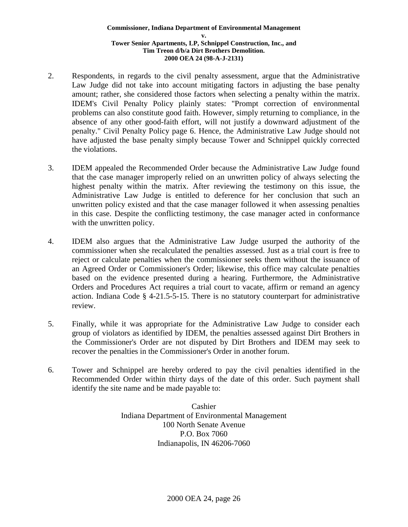- 2. Respondents, in regards to the civil penalty assessment, argue that the Administrative Law Judge did not take into account mitigating factors in adjusting the base penalty amount; rather, she considered those factors when selecting a penalty within the matrix. IDEM's Civil Penalty Policy plainly states: "Prompt correction of environmental problems can also constitute good faith. However, simply returning to compliance, in the absence of any other good-faith effort, will not justify a downward adjustment of the penalty." Civil Penalty Policy page 6. Hence, the Administrative Law Judge should not have adjusted the base penalty simply because Tower and Schnippel quickly corrected the violations.
- 3. IDEM appealed the Recommended Order because the Administrative Law Judge found that the case manager improperly relied on an unwritten policy of always selecting the highest penalty within the matrix. After reviewing the testimony on this issue, the Administrative Law Judge is entitled to deference for her conclusion that such an unwritten policy existed and that the case manager followed it when assessing penalties in this case. Despite the conflicting testimony, the case manager acted in conformance with the unwritten policy.
- 4. IDEM also argues that the Administrative Law Judge usurped the authority of the commissioner when she recalculated the penalties assessed. Just as a trial court is free to reject or calculate penalties when the commissioner seeks them without the issuance of an Agreed Order or Commissioner's Order; likewise, this office may calculate penalties based on the evidence presented during a hearing. Furthermore, the Administrative Orders and Procedures Act requires a trial court to vacate, affirm or remand an agency action. Indiana Code § 4-21.5-5-15. There is no statutory counterpart for administrative review.
- 5. Finally, while it was appropriate for the Administrative Law Judge to consider each group of violators as identified by IDEM, the penalties assessed against Dirt Brothers in the Commissioner's Order are not disputed by Dirt Brothers and IDEM may seek to recover the penalties in the Commissioner's Order in another forum.
- 6. Tower and Schnippel are hereby ordered to pay the civil penalties identified in the Recommended Order within thirty days of the date of this order. Such payment shall identify the site name and be made payable to:

Cashier Indiana Department of Environmental Management 100 North Senate Avenue P.O. Box 7060 Indianapolis, IN 46206-7060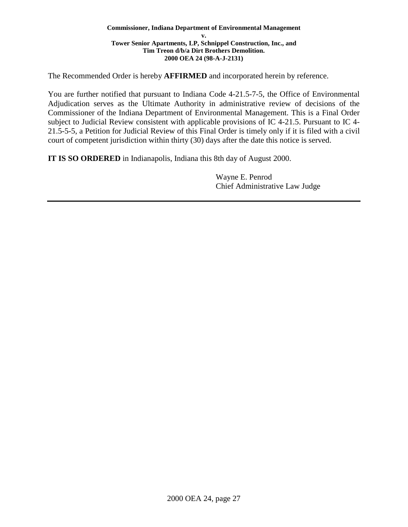The Recommended Order is hereby **AFFIRMED** and incorporated herein by reference.

You are further notified that pursuant to Indiana Code 4-21.5-7-5, the Office of Environmental Adjudication serves as the Ultimate Authority in administrative review of decisions of the Commissioner of the Indiana Department of Environmental Management. This is a Final Order subject to Judicial Review consistent with applicable provisions of IC 4-21.5. Pursuant to IC 4- 21.5-5-5, a Petition for Judicial Review of this Final Order is timely only if it is filed with a civil court of competent jurisdiction within thirty (30) days after the date this notice is served.

**IT IS SO ORDERED** in Indianapolis, Indiana this 8th day of August 2000.

Wayne E. Penrod Chief Administrative Law Judge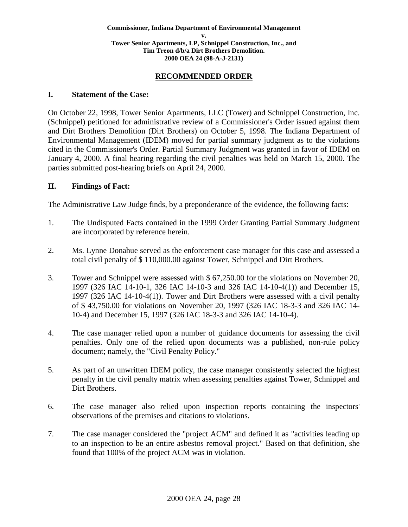### **RECOMMENDED ORDER**

#### **I. Statement of the Case:**

On October 22, 1998, Tower Senior Apartments, LLC (Tower) and Schnippel Construction, Inc. (Schnippel) petitioned for administrative review of a Commissioner's Order issued against them and Dirt Brothers Demolition (Dirt Brothers) on October 5, 1998. The Indiana Department of Environmental Management (IDEM) moved for partial summary judgment as to the violations cited in the Commissioner's Order. Partial Summary Judgment was granted in favor of IDEM on January 4, 2000. A final hearing regarding the civil penalties was held on March 15, 2000. The parties submitted post-hearing briefs on April 24, 2000.

### **II. Findings of Fact:**

The Administrative Law Judge finds, by a preponderance of the evidence, the following facts:

- 1. The Undisputed Facts contained in the 1999 Order Granting Partial Summary Judgment are incorporated by reference herein.
- 2. Ms. Lynne Donahue served as the enforcement case manager for this case and assessed a total civil penalty of \$ 110,000.00 against Tower, Schnippel and Dirt Brothers.
- 3. Tower and Schnippel were assessed with \$ 67,250.00 for the violations on November 20, 1997 (326 IAC 14-10-1, 326 IAC 14-10-3 and 326 IAC 14-10-4(1)) and December 15, 1997 (326 IAC 14-10-4(1)). Tower and Dirt Brothers were assessed with a civil penalty of \$ 43,750.00 for violations on November 20, 1997 (326 IAC 18-3-3 and 326 IAC 14- 10-4) and December 15, 1997 (326 IAC 18-3-3 and 326 IAC 14-10-4).
- 4. The case manager relied upon a number of guidance documents for assessing the civil penalties. Only one of the relied upon documents was a published, non-rule policy document; namely, the "Civil Penalty Policy."
- 5. As part of an unwritten IDEM policy, the case manager consistently selected the highest penalty in the civil penalty matrix when assessing penalties against Tower, Schnippel and Dirt Brothers.
- 6. The case manager also relied upon inspection reports containing the inspectors' observations of the premises and citations to violations.
- 7. The case manager considered the "project ACM" and defined it as "activities leading up to an inspection to be an entire asbestos removal project." Based on that definition, she found that 100% of the project ACM was in violation.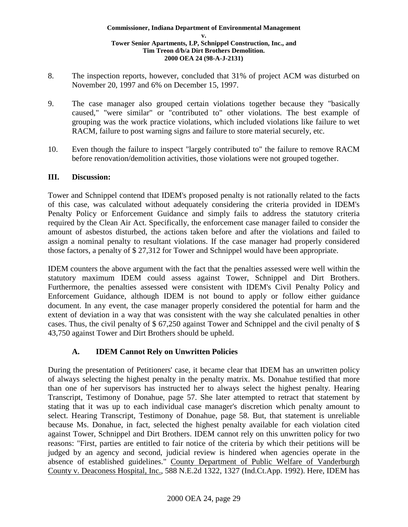- 8. The inspection reports, however, concluded that 31% of project ACM was disturbed on November 20, 1997 and 6% on December 15, 1997.
- 9. The case manager also grouped certain violations together because they "basically caused," "were similar" or "contributed to" other violations. The best example of grouping was the work practice violations, which included violations like failure to wet RACM, failure to post warning signs and failure to store material securely, etc.
- 10. Even though the failure to inspect "largely contributed to" the failure to remove RACM before renovation/demolition activities, those violations were not grouped together.

### **III. Discussion:**

Tower and Schnippel contend that IDEM's proposed penalty is not rationally related to the facts of this case, was calculated without adequately considering the criteria provided in IDEM's Penalty Policy or Enforcement Guidance and simply fails to address the statutory criteria required by the Clean Air Act. Specifically, the enforcement case manager failed to consider the amount of asbestos disturbed, the actions taken before and after the violations and failed to assign a nominal penalty to resultant violations. If the case manager had properly considered those factors, a penalty of \$ 27,312 for Tower and Schnippel would have been appropriate.

IDEM counters the above argument with the fact that the penalties assessed were well within the statutory maximum IDEM could assess against Tower, Schnippel and Dirt Brothers. Furthermore, the penalties assessed were consistent with IDEM's Civil Penalty Policy and Enforcement Guidance, although IDEM is not bound to apply or follow either guidance document. In any event, the case manager properly considered the potential for harm and the extent of deviation in a way that was consistent with the way she calculated penalties in other cases. Thus, the civil penalty of \$ 67,250 against Tower and Schnippel and the civil penalty of \$ 43,750 against Tower and Dirt Brothers should be upheld.

### **A. IDEM Cannot Rely on Unwritten Policies**

During the presentation of Petitioners' case, it became clear that IDEM has an unwritten policy of always selecting the highest penalty in the penalty matrix. Ms. Donahue testified that more than one of her supervisors has instructed her to always select the highest penalty. Hearing Transcript, Testimony of Donahue, page 57. She later attempted to retract that statement by stating that it was up to each individual case manager's discretion which penalty amount to select. Hearing Transcript, Testimony of Donahue, page 58. But, that statement is unreliable because Ms. Donahue, in fact, selected the highest penalty available for each violation cited against Tower, Schnippel and Dirt Brothers. IDEM cannot rely on this unwritten policy for two reasons: "First, parties are entitled to fair notice of the criteria by which their petitions will be judged by an agency and second, judicial review is hindered when agencies operate in the absence of established guidelines." County Department of Public Welfare of Vanderburgh County v. Deaconess Hospital, Inc., 588 N.E.2d 1322, 1327 (Ind.Ct.App. 1992). Here, IDEM has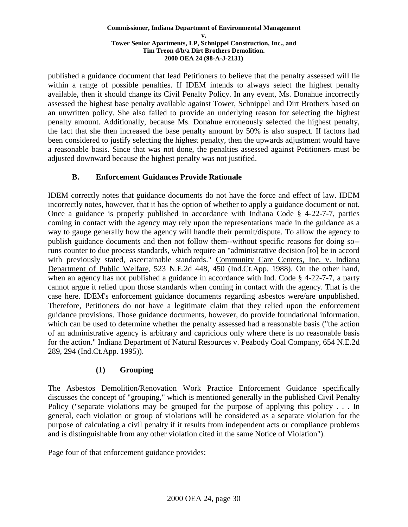published a guidance document that lead Petitioners to believe that the penalty assessed will lie within a range of possible penalties. If IDEM intends to always select the highest penalty available, then it should change its Civil Penalty Policy. In any event, Ms. Donahue incorrectly assessed the highest base penalty available against Tower, Schnippel and Dirt Brothers based on an unwritten policy. She also failed to provide an underlying reason for selecting the highest penalty amount. Additionally, because Ms. Donahue erroneously selected the highest penalty, the fact that she then increased the base penalty amount by 50% is also suspect. If factors had been considered to justify selecting the highest penalty, then the upwards adjustment would have a reasonable basis. Since that was not done, the penalties assessed against Petitioners must be adjusted downward because the highest penalty was not justified.

## **B. Enforcement Guidances Provide Rationale**

IDEM correctly notes that guidance documents do not have the force and effect of law. IDEM incorrectly notes, however, that it has the option of whether to apply a guidance document or not. Once a guidance is properly published in accordance with Indiana Code § 4-22-7-7, parties coming in contact with the agency may rely upon the representations made in the guidance as a way to gauge generally how the agency will handle their permit/dispute. To allow the agency to publish guidance documents and then not follow them--without specific reasons for doing so- runs counter to due process standards, which require an "administrative decision [to] be in accord with previously stated, ascertainable standards." Community Care Centers, Inc. v. Indiana Department of Public Welfare, 523 N.E.2d 448, 450 (Ind.Ct.App. 1988). On the other hand, when an agency has not published a guidance in accordance with Ind. Code § 4-22-7-7, a party cannot argue it relied upon those standards when coming in contact with the agency. That is the case here. IDEM's enforcement guidance documents regarding asbestos were/are unpublished. Therefore, Petitioners do not have a legitimate claim that they relied upon the enforcement guidance provisions. Those guidance documents, however, do provide foundational information, which can be used to determine whether the penalty assessed had a reasonable basis ("the action of an administrative agency is arbitrary and capricious only where there is no reasonable basis for the action." Indiana Department of Natural Resources v. Peabody Coal Company, 654 N.E.2d 289, 294 (Ind.Ct.App. 1995)).

# **(1) Grouping**

The Asbestos Demolition/Renovation Work Practice Enforcement Guidance specifically discusses the concept of "grouping," which is mentioned generally in the published Civil Penalty Policy ("separate violations may be grouped for the purpose of applying this policy . . . In general, each violation or group of violations will be considered as a separate violation for the purpose of calculating a civil penalty if it results from independent acts or compliance problems and is distinguishable from any other violation cited in the same Notice of Violation").

Page four of that enforcement guidance provides: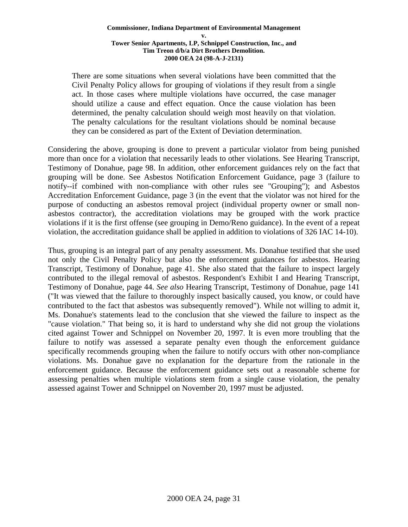There are some situations when several violations have been committed that the Civil Penalty Policy allows for grouping of violations if they result from a single act. In those cases where multiple violations have occurred, the case manager should utilize a cause and effect equation. Once the cause violation has been determined, the penalty calculation should weigh most heavily on that violation. The penalty calculations for the resultant violations should be nominal because they can be considered as part of the Extent of Deviation determination.

Considering the above, grouping is done to prevent a particular violator from being punished more than once for a violation that necessarily leads to other violations. See Hearing Transcript, Testimony of Donahue, page 98. In addition, other enforcement guidances rely on the fact that grouping will be done. See Asbestos Notification Enforcement Guidance, page 3 (failure to notify--if combined with non-compliance with other rules see "Grouping"); and Asbestos Accreditation Enforcement Guidance, page 3 (in the event that the violator was not hired for the purpose of conducting an asbestos removal project (individual property owner or small nonasbestos contractor), the accreditation violations may be grouped with the work practice violations if it is the first offense (see grouping in Demo/Reno guidance). In the event of a repeat violation, the accreditation guidance shall be applied in addition to violations of 326 IAC 14-10).

Thus, grouping is an integral part of any penalty assessment. Ms. Donahue testified that she used not only the Civil Penalty Policy but also the enforcement guidances for asbestos. Hearing Transcript, Testimony of Donahue, page 41. She also stated that the failure to inspect largely contributed to the illegal removal of asbestos. Respondent's Exhibit I and Hearing Transcript, Testimony of Donahue, page 44. *See also* Hearing Transcript, Testimony of Donahue, page 141 ("It was viewed that the failure to thoroughly inspect basically caused, you know, or could have contributed to the fact that asbestos was subsequently removed"). While not willing to admit it, Ms. Donahue's statements lead to the conclusion that she viewed the failure to inspect as the "cause violation." That being so, it is hard to understand why she did not group the violations cited against Tower and Schnippel on November 20, 1997. It is even more troubling that the failure to notify was assessed a separate penalty even though the enforcement guidance specifically recommends grouping when the failure to notify occurs with other non-compliance violations. Ms. Donahue gave no explanation for the departure from the rationale in the enforcement guidance. Because the enforcement guidance sets out a reasonable scheme for assessing penalties when multiple violations stem from a single cause violation, the penalty assessed against Tower and Schnippel on November 20, 1997 must be adjusted.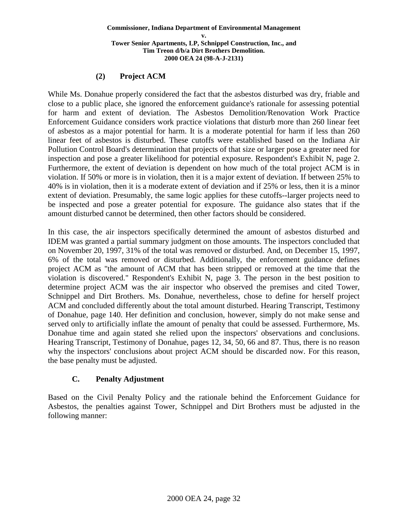## **(2) Project ACM**

While Ms. Donahue properly considered the fact that the asbestos disturbed was dry, friable and close to a public place, she ignored the enforcement guidance's rationale for assessing potential for harm and extent of deviation. The Asbestos Demolition/Renovation Work Practice Enforcement Guidance considers work practice violations that disturb more than 260 linear feet of asbestos as a major potential for harm. It is a moderate potential for harm if less than 260 linear feet of asbestos is disturbed. These cutoffs were established based on the Indiana Air Pollution Control Board's determination that projects of that size or larger pose a greater need for inspection and pose a greater likelihood for potential exposure. Respondent's Exhibit N, page 2. Furthermore, the extent of deviation is dependent on how much of the total project ACM is in violation. If 50% or more is in violation, then it is a major extent of deviation. If between 25% to 40% is in violation, then it is a moderate extent of deviation and if 25% or less, then it is a minor extent of deviation. Presumably, the same logic applies for these cutoffs--larger projects need to be inspected and pose a greater potential for exposure. The guidance also states that if the amount disturbed cannot be determined, then other factors should be considered.

In this case, the air inspectors specifically determined the amount of asbestos disturbed and IDEM was granted a partial summary judgment on those amounts. The inspectors concluded that on November 20, 1997, 31% of the total was removed or disturbed. And, on December 15, 1997, 6% of the total was removed or disturbed. Additionally, the enforcement guidance defines project ACM as "the amount of ACM that has been stripped or removed at the time that the violation is discovered." Respondent's Exhibit N, page 3. The person in the best position to determine project ACM was the air inspector who observed the premises and cited Tower, Schnippel and Dirt Brothers. Ms. Donahue, nevertheless, chose to define for herself project ACM and concluded differently about the total amount disturbed. Hearing Transcript, Testimony of Donahue, page 140. Her definition and conclusion, however, simply do not make sense and served only to artificially inflate the amount of penalty that could be assessed. Furthermore, Ms. Donahue time and again stated she relied upon the inspectors' observations and conclusions. Hearing Transcript, Testimony of Donahue, pages 12, 34, 50, 66 and 87. Thus, there is no reason why the inspectors' conclusions about project ACM should be discarded now. For this reason, the base penalty must be adjusted.

## **C. Penalty Adjustment**

Based on the Civil Penalty Policy and the rationale behind the Enforcement Guidance for Asbestos, the penalties against Tower, Schnippel and Dirt Brothers must be adjusted in the following manner: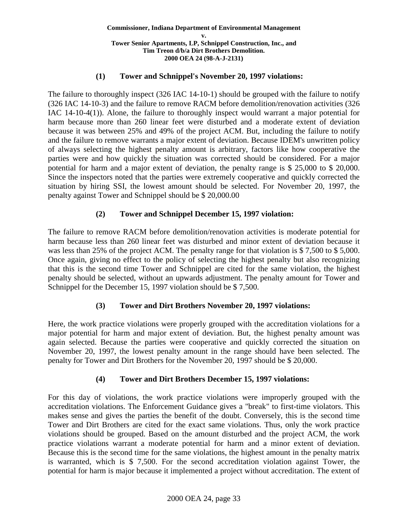### **(1) Tower and Schnippel's November 20, 1997 violations:**

The failure to thoroughly inspect (326 IAC 14-10-1) should be grouped with the failure to notify (326 IAC 14-10-3) and the failure to remove RACM before demolition/renovation activities (326 IAC 14-10-4(1)). Alone, the failure to thoroughly inspect would warrant a major potential for harm because more than 260 linear feet were disturbed and a moderate extent of deviation because it was between 25% and 49% of the project ACM. But, including the failure to notify and the failure to remove warrants a major extent of deviation. Because IDEM's unwritten policy of always selecting the highest penalty amount is arbitrary, factors like how cooperative the parties were and how quickly the situation was corrected should be considered. For a major potential for harm and a major extent of deviation, the penalty range is \$ 25,000 to \$ 20,000. Since the inspectors noted that the parties were extremely cooperative and quickly corrected the situation by hiring SSI, the lowest amount should be selected. For November 20, 1997, the penalty against Tower and Schnippel should be \$ 20,000.00

## **(2) Tower and Schnippel December 15, 1997 violation:**

The failure to remove RACM before demolition/renovation activities is moderate potential for harm because less than 260 linear feet was disturbed and minor extent of deviation because it was less than 25% of the project ACM. The penalty range for that violation is \$ 7,500 to \$ 5,000. Once again, giving no effect to the policy of selecting the highest penalty but also recognizing that this is the second time Tower and Schnippel are cited for the same violation, the highest penalty should be selected, without an upwards adjustment. The penalty amount for Tower and Schnippel for the December 15, 1997 violation should be \$7,500.

## **(3) Tower and Dirt Brothers November 20, 1997 violations:**

Here, the work practice violations were properly grouped with the accreditation violations for a major potential for harm and major extent of deviation. But, the highest penalty amount was again selected. Because the parties were cooperative and quickly corrected the situation on November 20, 1997, the lowest penalty amount in the range should have been selected. The penalty for Tower and Dirt Brothers for the November 20, 1997 should be \$ 20,000.

## **(4) Tower and Dirt Brothers December 15, 1997 violations:**

For this day of violations, the work practice violations were improperly grouped with the accreditation violations. The Enforcement Guidance gives a "break" to first-time violators. This makes sense and gives the parties the benefit of the doubt. Conversely, this is the second time Tower and Dirt Brothers are cited for the exact same violations. Thus, only the work practice violations should be grouped. Based on the amount disturbed and the project ACM, the work practice violations warrant a moderate potential for harm and a minor extent of deviation. Because this is the second time for the same violations, the highest amount in the penalty matrix is warranted, which is \$ 7,500. For the second accreditation violation against Tower, the potential for harm is major because it implemented a project without accreditation. The extent of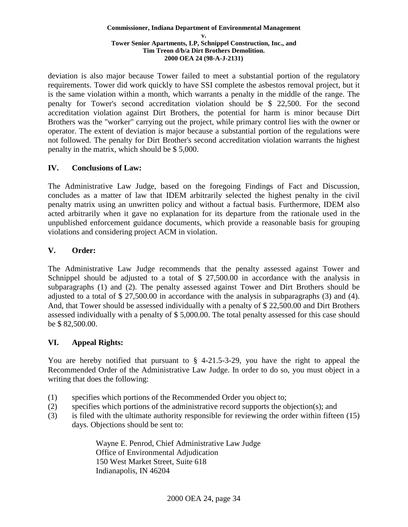deviation is also major because Tower failed to meet a substantial portion of the regulatory requirements. Tower did work quickly to have SSI complete the asbestos removal project, but it is the same violation within a month, which warrants a penalty in the middle of the range. The penalty for Tower's second accreditation violation should be \$ 22,500. For the second accreditation violation against Dirt Brothers, the potential for harm is minor because Dirt Brothers was the "worker" carrying out the project, while primary control lies with the owner or operator. The extent of deviation is major because a substantial portion of the regulations were not followed. The penalty for Dirt Brother's second accreditation violation warrants the highest penalty in the matrix, which should be \$ 5,000.

## **IV. Conclusions of Law:**

The Administrative Law Judge, based on the foregoing Findings of Fact and Discussion, concludes as a matter of law that IDEM arbitrarily selected the highest penalty in the civil penalty matrix using an unwritten policy and without a factual basis. Furthermore, IDEM also acted arbitrarily when it gave no explanation for its departure from the rationale used in the unpublished enforcement guidance documents, which provide a reasonable basis for grouping violations and considering project ACM in violation.

## **V. Order:**

The Administrative Law Judge recommends that the penalty assessed against Tower and Schnippel should be adjusted to a total of \$ 27,500.00 in accordance with the analysis in subparagraphs (1) and (2). The penalty assessed against Tower and Dirt Brothers should be adjusted to a total of \$ 27,500.00 in accordance with the analysis in subparagraphs (3) and (4). And, that Tower should be assessed individually with a penalty of \$ 22,500.00 and Dirt Brothers assessed individually with a penalty of \$ 5,000.00. The total penalty assessed for this case should be \$ 82,500.00.

## **VI. Appeal Rights:**

You are hereby notified that pursuant to  $\S$  4-21.5-3-29, you have the right to appeal the Recommended Order of the Administrative Law Judge. In order to do so, you must object in a writing that does the following:

- (1) specifies which portions of the Recommended Order you object to;
- (2) specifies which portions of the administrative record supports the objection(s); and
- (3) is filed with the ultimate authority responsible for reviewing the order within fifteen (15) days. Objections should be sent to:

Wayne E. Penrod, Chief Administrative Law Judge Office of Environmental Adjudication 150 West Market Street, Suite 618 Indianapolis, IN 46204